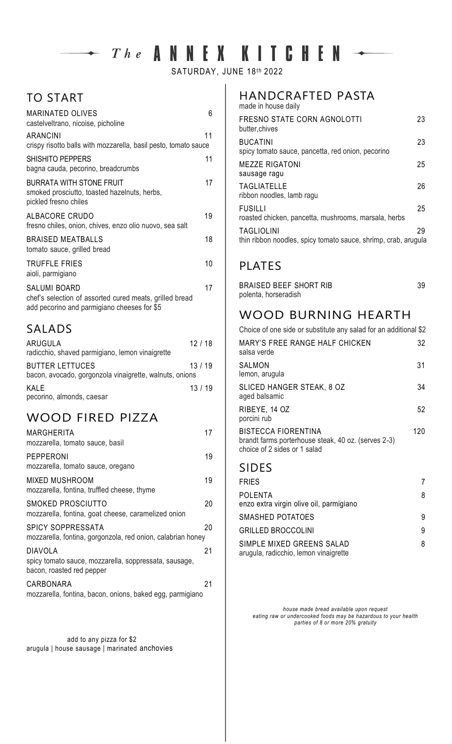# $\rightarrow$  The ANNEX KITCHEN  $\rightarrow$

SATURDAY, JUNE 18th 2022

#### TO START

| <b>MARINATED OLIVES</b><br>castelveltrano, nicoise, picholine                                                                 | 6  |
|-------------------------------------------------------------------------------------------------------------------------------|----|
| <b>ARANCINI</b><br>crispy risotto balls with mozzarella, basil pesto, tomato sauce                                            | 11 |
| <b>SHISHITO PEPPERS</b><br>bagna cauda, pecorino, breadcrumbs                                                                 | 11 |
| <b>BURRATA WITH STONE FRUIT</b><br>smoked prosciutto, toasted hazelnuts, herbs,<br>pickled fresno chiles                      | 17 |
| ALBACORE CRUDO<br>fresno chiles, onion, chives, enzo olio nuovo, sea salt                                                     | 19 |
| <b>BRAISED MEATBALLS</b><br>tomato sauce, grilled bread                                                                       | 18 |
| <b>TRUFFLE FRIES</b><br>aioli, parmigiano                                                                                     | 10 |
| <b>SALUMI BOARD</b><br>chef's selection of assorted cured meats, grilled bread<br>add pecorino and parmigiano cheeses for \$5 | 17 |

# SALADS

| <b>ARUGULA</b><br>radicchio, shaved parmigiano, lemon vinaigrette                 | 12/18 |  |
|-----------------------------------------------------------------------------------|-------|--|
| <b>BUTTER LETTUCES</b><br>bacon, avocado, gorgonzola vinaigrette, walnuts, onions | 13/19 |  |
| KALE<br>pecorino, almonds, caesar                                                 | 13/19 |  |

## WOOD FIRED PIZZA

| MARGHERITA<br>mozzarella, tomato sauce, basil                                                        | 17 |
|------------------------------------------------------------------------------------------------------|----|
| <b>PEPPERONI</b><br>mozzarella, tomato sauce, oregano                                                | 19 |
| MIXED MUSHROOM<br>mozzarella, fontina, truffled cheese, thyme                                        | 19 |
| SMOKED PROSCIUTTO<br>mozzarella, fontina, goat cheese, caramelized onion                             | 20 |
| <b>SPICY SOPPRESSATA</b><br>mozzarella, fontina, gorgonzola, red onion, calabrian honey              | 20 |
| <b>DIAVOLA</b><br>spicy tomato sauce, mozzarella, soppressata, sausage,<br>bacon, roasted red pepper | 21 |
| CARBONARA<br>mozzarella, fontina, bacon, onions, baked egg, parmigiano                               | 21 |

 add to any pizza for \$2 arugula | house sausage | marinated anchovies

#### HANDCRAFTED PASTA

| made in house daily                                                                 |    |
|-------------------------------------------------------------------------------------|----|
| FRESNO STATE CORN AGNOLOTTI<br>butter, chives                                       | 23 |
| <b>BUCATINI</b><br>spicy tomato sauce, pancetta, red onion, pecorino                | 23 |
| <b>MEZZE RIGATONI</b><br>sausage ragu                                               | 25 |
| <b>TAGLIATELLE</b><br>ribbon noodles, lamb ragu                                     | 26 |
| <b>FUSILLI</b><br>roasted chicken, pancetta, mushrooms, marsala, herbs              | 25 |
| <b>TAGLIOLINI</b><br>thin ribbon noodles, spicy tomato sauce, shrimp, crab, arugula | 29 |

## PLATES

| <b>BRAISED BEEF SHORT RIB</b> | 39 |
|-------------------------------|----|
| polenta, horseradish          |    |

# WOOD BURNING HEARTH

| Choice of one side or substitute any salad for an additional \$2                                                  |     |
|-------------------------------------------------------------------------------------------------------------------|-----|
| MARY'S FREE RANGE HALF CHICKEN<br>salsa verde                                                                     | 32  |
| SALMON<br>lemon, arugula                                                                                          | 31  |
| SLICED HANGER STEAK, 8 OZ<br>aged balsamic                                                                        | 34  |
| RIBEYE, 14 OZ<br>porcini rub                                                                                      | 52  |
| <b>BISTECCA FIORENTINA</b><br>brandt farms porterhouse steak, 40 oz. (serves 2-3)<br>choice of 2 sides or 1 salad | 120 |

#### SIDES

| FRIES                                                              |   |
|--------------------------------------------------------------------|---|
| POLENTA<br>enzo extra virgin olive oil, parmigiano                 | 8 |
| SMASHED POTATOES                                                   | 9 |
| <b>GRILLED BROCCOLINI</b>                                          | 9 |
| SIMPLE MIXED GREENS SALAD<br>arugula, radicchio, lemon vinaigrette | 8 |

*house made bread available upon request eating raw or undercooked foods may be hazardous to your health parties of 8 or more 20% gratuity*